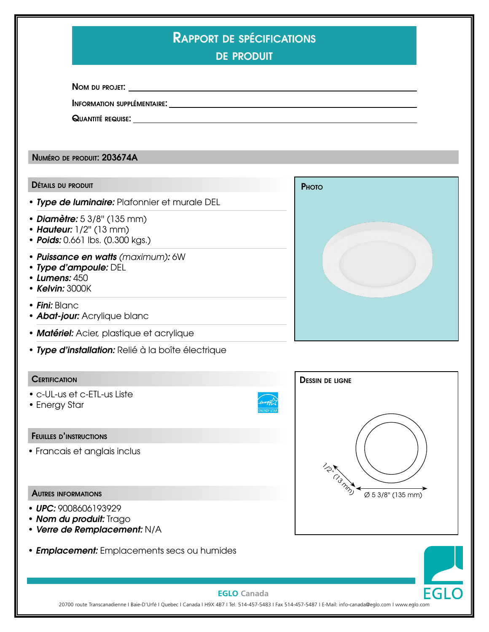| RAPPORT DE SPÉCIFICATIONS |  |
|---------------------------|--|
|                           |  |
|                           |  |

de produit

Nom du projet:

Information supplémentaire:

Quantité requise:

Numéro de produit: 203674A

#### Détails du produit

- *Type de luminaire:* Plafonnier et murale DEL
- *Diamètre:* 5 3/8'' (135 mm)
- *Hauteur:* 1/2'' (13 mm)
- *Poids:* 0.661 lbs. (0.300 kgs.)
- *Puissance en watts (maximum):* 6W
- *Type d'ampoule:* DEL
- *Lumens:* 450
- *Kelvin:* 3000K
- *Fini:* Blanc
- *Abat-jour:* Acrylique blanc
- *Matériel:* Acier, plastique et acrylique
- *Type d'installation:* Relié à la boîte électrique

## **CERTIFICATION**

- c-UL-us et c-ETL-us Liste
- Energy Star

### Feuilles d'instructions

• Francais et anglais inclus

#### Autres informations

- *UPC:* 9008606193929
- *Nom du produit:* Trago
- *Verre de Remplacement:* N/A
- *Emplacement:* Emplacements secs ou humides



PHOTO





## **EGLO Canada**

20700 route Transcanadienne I Baie-D'Urfé I Quebec I Canada I H9X 4B7 I Tel. 514-457-5483 I Fax 514-457-5487 I E-Mail: info-canada@eglo.com I www.eglo.com